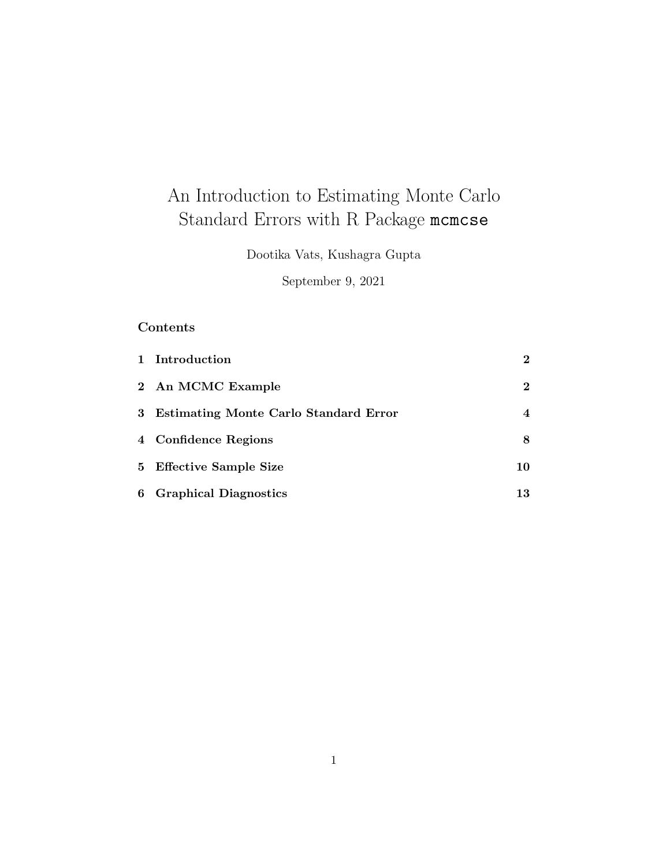# An Introduction to Estimating Monte Carlo Standard Errors with R Package mcmcse

Dootika Vats, Kushagra Gupta

September 9, 2021

# Contents

| 1 Introduction                          | $\mathbf{2}$ |
|-----------------------------------------|--------------|
| 2 An MCMC Example                       | $\mathbf{2}$ |
| 3 Estimating Monte Carlo Standard Error | 4            |
| 4 Confidence Regions                    | 8            |
| 5 Effective Sample Size                 | 10           |
| 6 Graphical Diagnostics                 | 13           |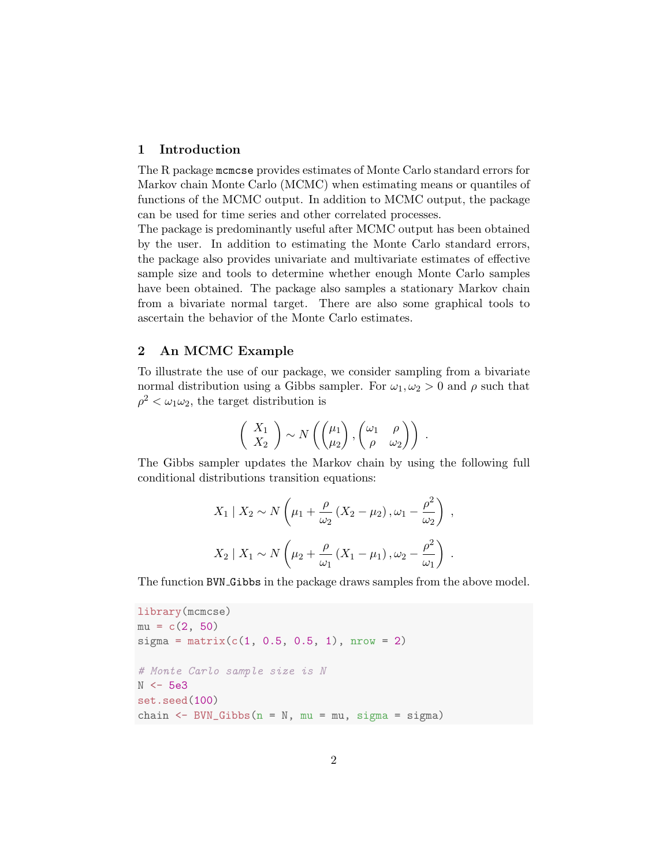# 1 Introduction

The R package mcmcse provides estimates of Monte Carlo standard errors for Markov chain Monte Carlo (MCMC) when estimating means or quantiles of functions of the MCMC output. In addition to MCMC output, the package can be used for time series and other correlated processes.

The package is predominantly useful after MCMC output has been obtained by the user. In addition to estimating the Monte Carlo standard errors, the package also provides univariate and multivariate estimates of effective sample size and tools to determine whether enough Monte Carlo samples have been obtained. The package also samples a stationary Markov chain from a bivariate normal target. There are also some graphical tools to ascertain the behavior of the Monte Carlo estimates.

#### 2 An MCMC Example

To illustrate the use of our package, we consider sampling from a bivariate normal distribution using a Gibbs sampler. For  $\omega_1, \omega_2 > 0$  and  $\rho$  such that  $\rho^2 < \omega_1 \omega_2$ , the target distribution is

$$
\left(\begin{array}{c} X_1 \\ X_2 \end{array}\right) \sim N\left(\begin{pmatrix} \mu_1 \\ \mu_2 \end{pmatrix}, \begin{pmatrix} \omega_1 & \rho \\ \rho & \omega_2 \end{pmatrix}\right) .
$$

The Gibbs sampler updates the Markov chain by using the following full conditional distributions transition equations:

$$
X_1 \mid X_2 \sim N\left(\mu_1 + \frac{\rho}{\omega_2}\left(X_2 - \mu_2\right), \omega_1 - \frac{\rho^2}{\omega_2}\right) ,
$$
  

$$
X_2 \mid X_1 \sim N\left(\mu_2 + \frac{\rho}{\omega_1}\left(X_1 - \mu_1\right), \omega_2 - \frac{\rho^2}{\omega_1}\right) .
$$

The function BVN Gibbs in the package draws samples from the above model.

```
library(mcmcse)
mu = c(2, 50)sigma = matrix(c(1, 0.5, 0.5, 1), nrow = 2)# Monte Carlo sample size is N
N <- 5e3
set.seed(100)
chain \leq BVN_Gibbs(n = N, mu = mu, sigma = sigma)
```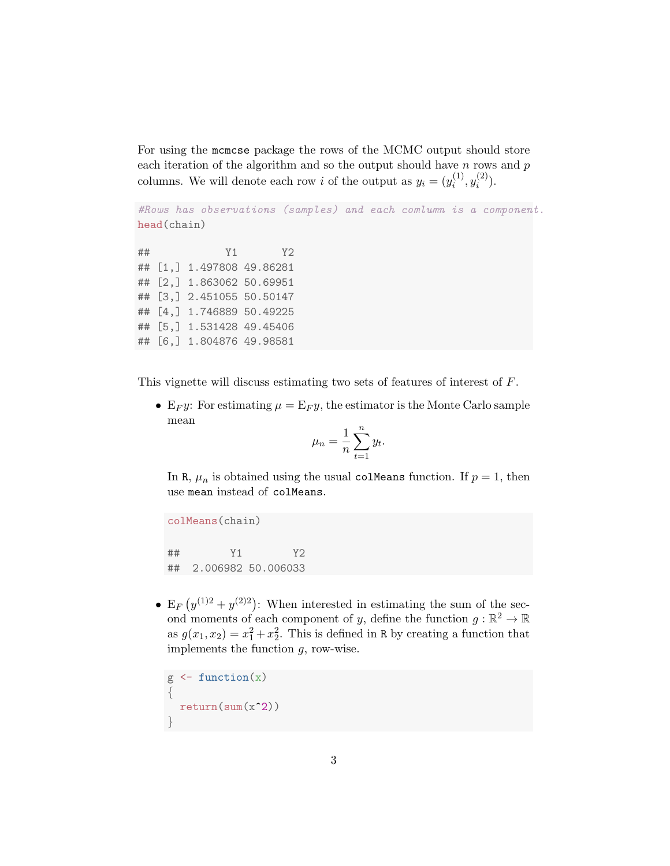For using the mcmcse package the rows of the MCMC output should store each iteration of the algorithm and so the output should have  $n$  rows and  $p$ columns. We will denote each row *i* of the output as  $y_i = (y_i^{(1)})$  $y_i^{(1)}, y_i^{(2)}$  $\binom{2}{i}$ .

```
#Rows has observations (samples) and each comlumn is a component.
head(chain)
```
## Y1 Y2 ## [1,] 1.497808 49.86281 ## [2,] 1.863062 50.69951 ## [3,] 2.451055 50.50147 ## [4,] 1.746889 50.49225 ## [5,] 1.531428 49.45406 ## [6,] 1.804876 49.98581

This vignette will discuss estimating two sets of features of interest of F.

• E<sub>F</sub>y: For estimating  $\mu = E_{F}y$ , the estimator is the Monte Carlo sample mean

$$
\mu_n = \frac{1}{n} \sum_{t=1}^n y_t.
$$

In R,  $\mu_n$  is obtained using the usual colMeans function. If  $p = 1$ , then use mean instead of colMeans.

```
colMeans(chain)
## Y1 Y2
## 2.006982 50.006033
```
• E<sub>F</sub>  $(y^{(1)2} + y^{(2)2})$ : When interested in estimating the sum of the second moments of each component of y, define the function  $g : \mathbb{R}^2 \to \mathbb{R}$ as  $g(x_1, x_2) = x_1^2 + x_2^2$ . This is defined in R by creating a function that implements the function  $g$ , row-wise.

```
g \leftarrow function(x){
  return(sum(x^2))
}
```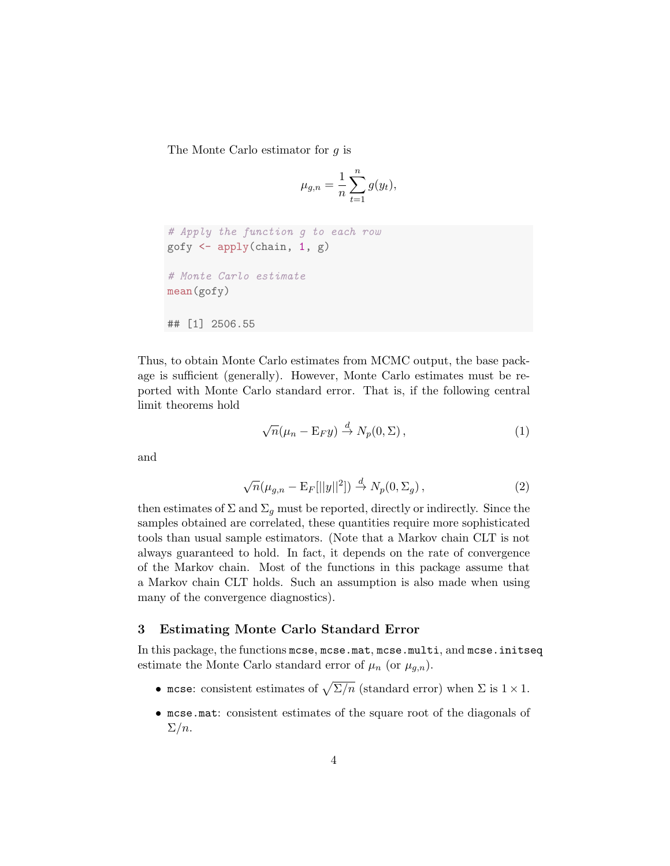The Monte Carlo estimator for g is

$$
\mu_{g,n} = \frac{1}{n} \sum_{t=1}^{n} g(y_t),
$$

```
# Apply the function g to each row
gofy \leftarrow apply(chain, 1, g)
# Monte Carlo estimate
mean(gofy)
## [1] 2506.55
```
Thus, to obtain Monte Carlo estimates from MCMC output, the base package is sufficient (generally). However, Monte Carlo estimates must be reported with Monte Carlo standard error. That is, if the following central limit theorems hold

$$
\sqrt{n}(\mu_n - \mathbf{E}_F y) \stackrel{d}{\to} N_p(0, \Sigma), \qquad (1)
$$

and

$$
\sqrt{n}(\mu_{g,n} - \mathbf{E}_F[||y||^2]) \stackrel{d}{\to} N_p(0, \Sigma_g), \qquad (2)
$$

then estimates of  $\Sigma$  and  $\Sigma_g$  must be reported, directly or indirectly. Since the samples obtained are correlated, these quantities require more sophisticated tools than usual sample estimators. (Note that a Markov chain CLT is not always guaranteed to hold. In fact, it depends on the rate of convergence of the Markov chain. Most of the functions in this package assume that a Markov chain CLT holds. Such an assumption is also made when using many of the convergence diagnostics).

#### 3 Estimating Monte Carlo Standard Error

In this package, the functions mcse, mcse.mat, mcse.multi, and mcse.initseq estimate the Monte Carlo standard error of  $\mu_n$  (or  $\mu_{g,n}$ ).

- mcse: consistent estimates of  $\sqrt{\Sigma/n}$  (standard error) when  $\Sigma$  is  $1 \times 1$ .
- mcse.mat: consistent estimates of the square root of the diagonals of  $\Sigma/n$ .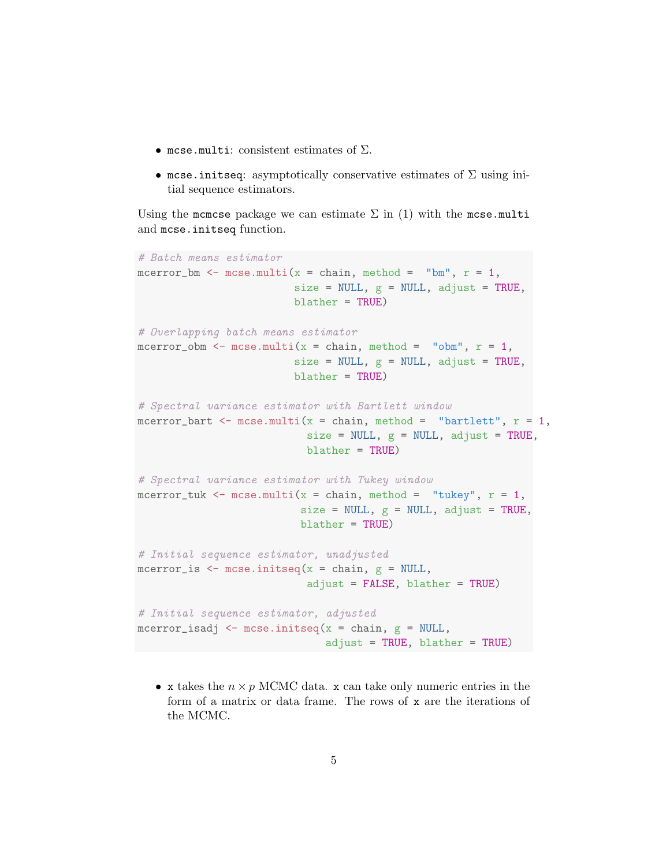- mcse.multi: consistent estimates of  $\Sigma$ .
- mcse.initseq: asymptotically conservative estimates of  $\Sigma$  using initial sequence estimators.

Using the mcmcse package we can estimate  $\Sigma$  in (1) with the mcse.multi and mcse.initseq function.

```
# Batch means estimator
mcerror_bm <- mcse.multi(x = chain, method = "bm", r = 1,
                         size = NULL, g = NULL, adjust = TRUE,
                         blather = TRUE)
# Overlapping batch means estimator
mcerror_obm <- mcse.multi(x = chain, method = "obm", r = 1,
                         size = NULL, g = NULL, adjust = TRUE,
                         blather = TRUE)
# Spectral variance estimator with Bartlett window
mcerror_bart \leq mcse.multi(x = chain, method = "bartlett", r = 1,
                           size = NULL, g = NULL, adjust = TRUE,blather = TRUE)
# Spectral variance estimator with Tukey window
mcerror_tuk <- mcse.multi(x = chain, method = "tukey", r = 1,
                          size = NULL, g = NULL, adjust = TRUE,
                          blather = TRUE)
# Initial sequence estimator, unadjusted
mcerror_is \leq mcse.initseq(x = chain, g = NULL,
                           adjust = FALSE, blather = TRUE)
# Initial sequence estimator, adjusted
mcerror_isadj <- mcse.initseq(x = chain, g = NULL,
                              adjust = TRUE, blather = TRUE)
```
• x takes the  $n \times p$  MCMC data. x can take only numeric entries in the form of a matrix or data frame. The rows of x are the iterations of the MCMC.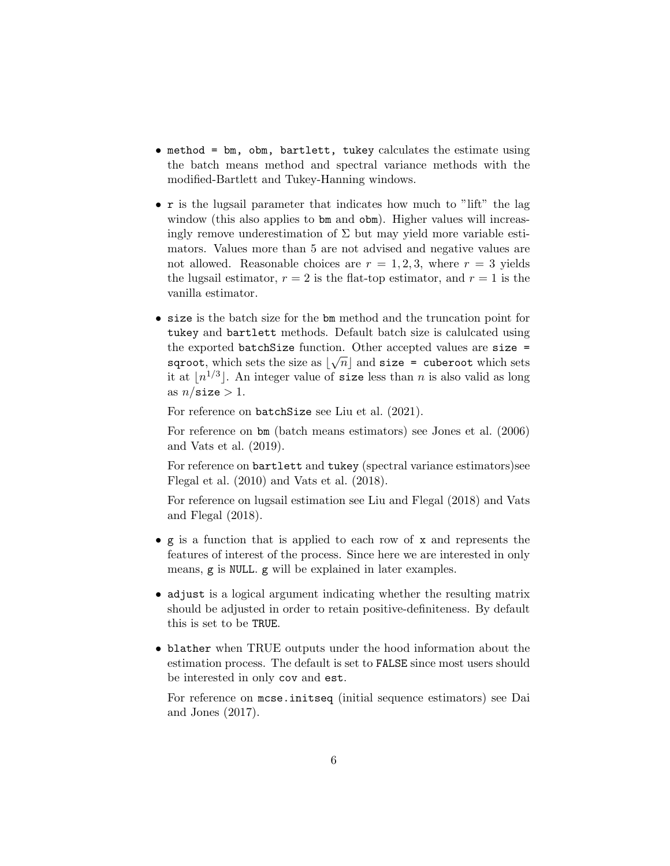- method = bm, obm, bartlett, tukey calculates the estimate using the batch means method and spectral variance methods with the modified-Bartlett and Tukey-Hanning windows.
- r is the lugsail parameter that indicates how much to "lift" the lag window (this also applies to bm and obm). Higher values will increasingly remove underestimation of  $\Sigma$  but may yield more variable estimators. Values more than 5 are not advised and negative values are not allowed. Reasonable choices are  $r = 1, 2, 3$ , where  $r = 3$  yields the lugsail estimator,  $r = 2$  is the flat-top estimator, and  $r = 1$  is the vanilla estimator.
- size is the batch size for the bm method and the truncation point for tukey and bartlett methods. Default batch size is calulcated using the exported batchSize function. Other accepted values are size = sqroot, which sets the size as  $\lfloor \sqrt{n} \rfloor$  and size = cuberoot which sets it at  $\lfloor n^{1/3} \rfloor$ . An integer value of size less than n is also valid as long as  $n/\text{size} > 1$ .

For reference on batchSize see Liu et al. (2021).

For reference on bm (batch means estimators) see Jones et al. (2006) and Vats et al. (2019).

For reference on bartlett and tukey (spectral variance estimators)see Flegal et al. (2010) and Vats et al. (2018).

For reference on lugsail estimation see Liu and Flegal (2018) and Vats and Flegal (2018).

- g is a function that is applied to each row of x and represents the features of interest of the process. Since here we are interested in only means, g is NULL. g will be explained in later examples.
- adjust is a logical argument indicating whether the resulting matrix should be adjusted in order to retain positive-definiteness. By default this is set to be TRUE.
- blather when TRUE outputs under the hood information about the estimation process. The default is set to FALSE since most users should be interested in only cov and est.

For reference on mcse.initseq (initial sequence estimators) see Dai and Jones (2017).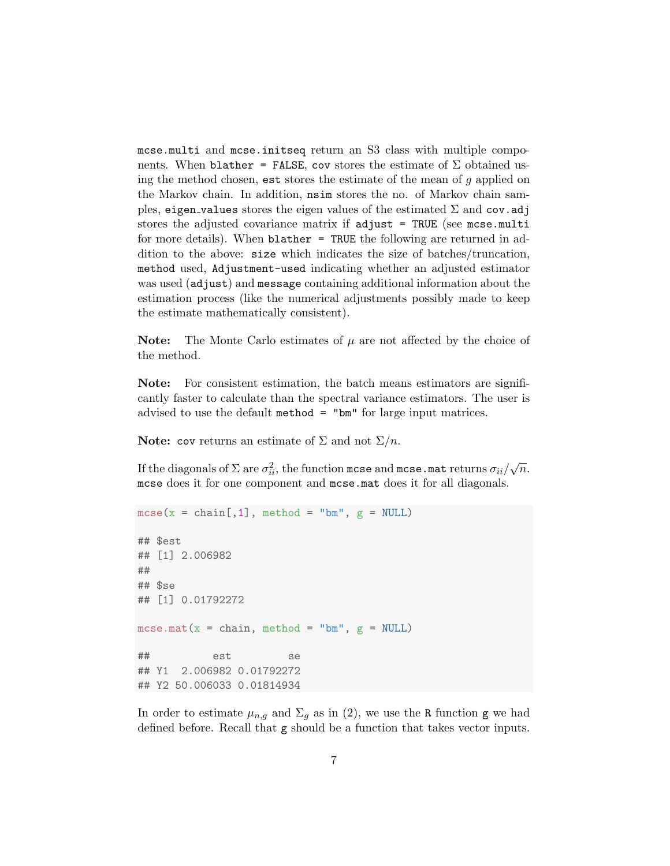mcse.multi and mcse.initseq return an S3 class with multiple components. When blather = FALSE, cov stores the estimate of  $\Sigma$  obtained using the method chosen, est stores the estimate of the mean of  $g$  applied on the Markov chain. In addition, nsim stores the no. of Markov chain samples, eigen values stores the eigen values of the estimated  $\Sigma$  and cov.adj stores the adjusted covariance matrix if adjust = TRUE (see mcse.multi for more details). When blather = TRUE the following are returned in addition to the above: size which indicates the size of batches/truncation, method used, Adjustment-used indicating whether an adjusted estimator was used (adjust) and message containing additional information about the estimation process (like the numerical adjustments possibly made to keep the estimate mathematically consistent).

**Note:** The Monte Carlo estimates of  $\mu$  are not affected by the choice of the method.

Note: For consistent estimation, the batch means estimators are significantly faster to calculate than the spectral variance estimators. The user is advised to use the default method = "bm" for large input matrices.

**Note:** cov returns an estimate of  $\Sigma$  and not  $\Sigma/n$ .

If the diagonals of  $\Sigma$  are  $\sigma_{ii}^2$ , the function  ${\tt mcse}$  and  ${\tt mcse}$  . ${\tt mat}$  returns  $\sigma_{ii}/\sqrt{n}$ . mcse does it for one component and mcse.mat does it for all diagonals.

```
mcse(x = chain[, 1], method = "bm", g = NULL)## $est
## [1] 2.006982
##
## $se
## [1] 0.01792272
mcse.mat(x = chain, method = "bm", g = NULL)
## est se
## Y1 2.006982 0.01792272
## Y2 50.006033 0.01814934
```
In order to estimate  $\mu_{n,g}$  and  $\Sigma_g$  as in (2), we use the R function g we had defined before. Recall that g should be a function that takes vector inputs.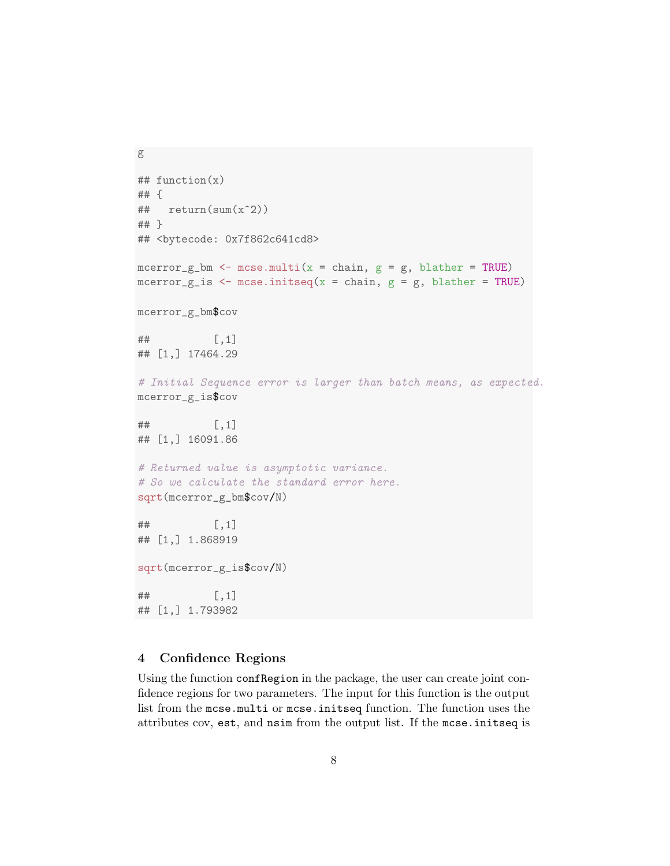```
g
## function(x)
## {
## return(sum(x^2))
## }
## <bytecode: 0x7f862c641cd8>
mcerror_g_bm <- mcse.multi(x = chain, g = g, blather = TRUE)
mcerror_g_is \leq mcse.initseq(x = chain, g = g, blather = TRUE)
mcerror_g_bm$cov
## [,1]
## [1,] 17464.29
# Initial Sequence error is larger than batch means, as expected.
mcerror_g_is$cov
\sharp # [, 1]
## [1,] 16091.86
# Returned value is asymptotic variance.
# So we calculate the standard error here.
sqrt(mcerror_g_bm$cov/N)
\# \qquad \qquad \qquad \qquad \qquad \qquad \qquad \qquad \qquad \qquad \qquad \qquad \qquad \qquad \qquad \qquad \qquad \qquad \qquad \qquad \qquad \qquad \qquad \qquad \qquad \qquad \qquad \qquad \qquad \qquad \qquad \qquad \qquad \qquad \qquad \qquad 
## [1,] 1.868919
sqrt(mcerror_g_is$cov/N)
## [,1]
## [1,] 1.793982
```
# 4 Confidence Regions

Using the function confRegion in the package, the user can create joint confidence regions for two parameters. The input for this function is the output list from the mcse.multi or mcse.initseq function. The function uses the attributes cov, est, and nsim from the output list. If the mcse.initseq is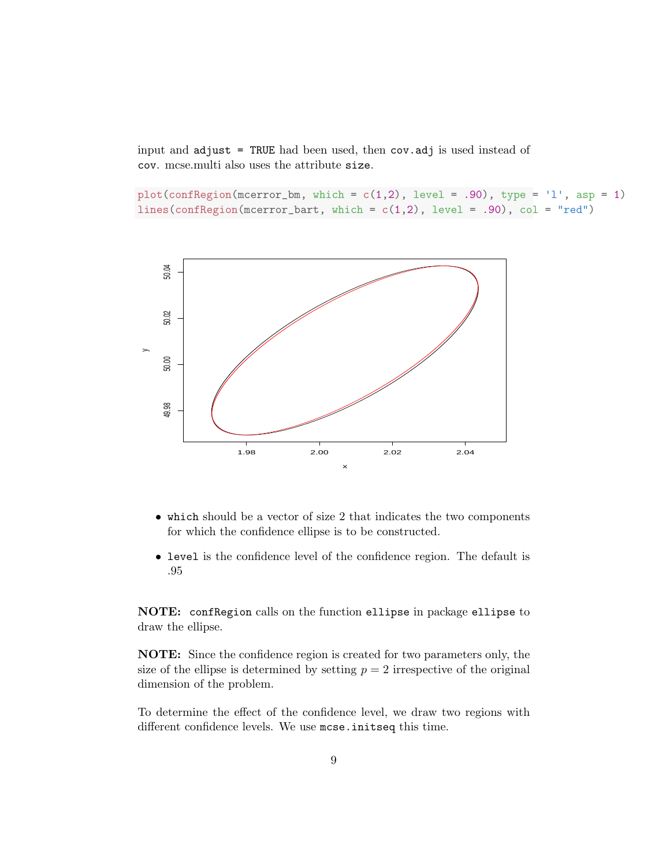input and adjust = TRUE had been used, then cov.adj is used instead of cov. mcse.multi also uses the attribute size.

plot(confRegion(mcerror\_bm, which =  $c(1,2)$ , level = .90), type = 'l', asp = 1) lines(confRegion(mcerror\_bart, which =  $c(1,2)$ , level = .90), col = "red")



- which should be a vector of size 2 that indicates the two components for which the confidence ellipse is to be constructed.
- level is the confidence level of the confidence region. The default is .95

NOTE: confRegion calls on the function ellipse in package ellipse to draw the ellipse.

NOTE: Since the confidence region is created for two parameters only, the size of the ellipse is determined by setting  $p = 2$  irrespective of the original dimension of the problem.

To determine the effect of the confidence level, we draw two regions with different confidence levels. We use mcse.initseq this time.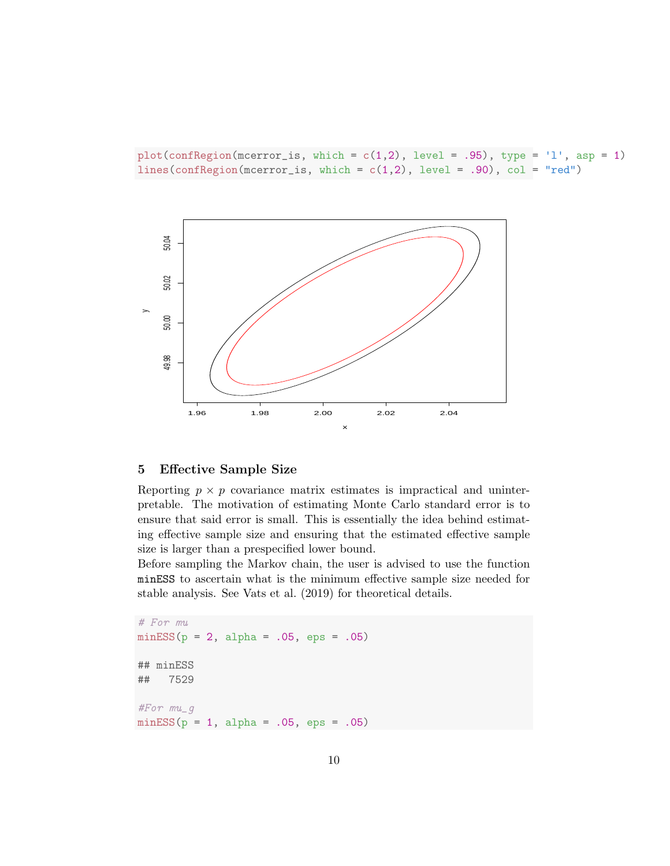$plot(confRegion(mcerror_is, which = c(1,2), level = .95), type = 'l', asp = 1)$ lines(confRegion(mcerror\_is, which =  $c(1,2)$ , level = .90), col = "red")



## 5 Effective Sample Size

Reporting  $p \times p$  covariance matrix estimates is impractical and uninterpretable. The motivation of estimating Monte Carlo standard error is to ensure that said error is small. This is essentially the idea behind estimating effective sample size and ensuring that the estimated effective sample size is larger than a prespecified lower bound.

Before sampling the Markov chain, the user is advised to use the function minESS to ascertain what is the minimum effective sample size needed for stable analysis. See Vats et al. (2019) for theoretical details.

```
# For mu
minESS(p = 2, alpha = .05,eps = .05)## minESS
## 7529
#For mu_g
minESS(p = 1, alpha = .05,eps = .05)
```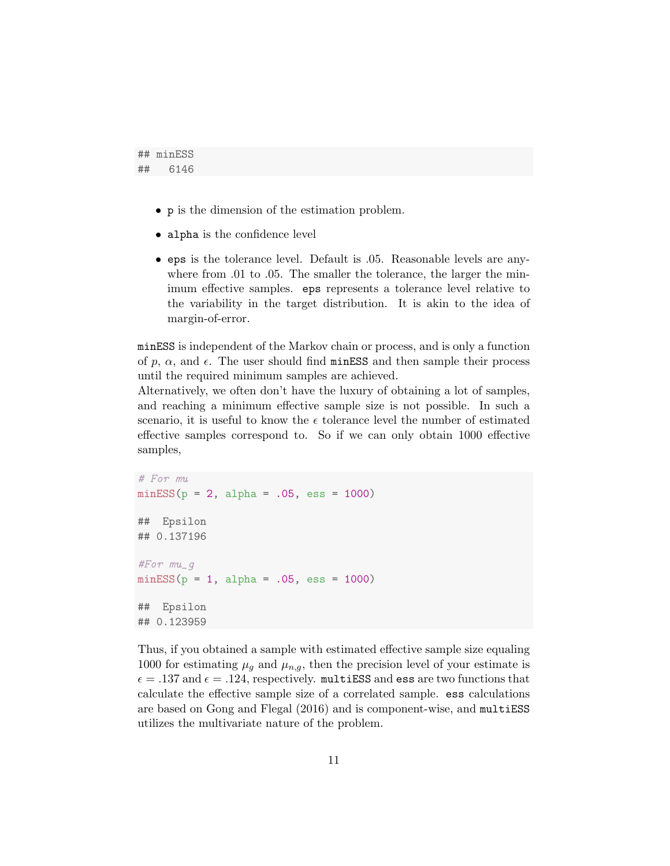```
## minESS
## 6146
```
- p is the dimension of the estimation problem.
- alpha is the confidence level
- eps is the tolerance level. Default is .05. Reasonable levels are anywhere from .01 to .05. The smaller the tolerance, the larger the minimum effective samples. eps represents a tolerance level relative to the variability in the target distribution. It is akin to the idea of margin-of-error.

minESS is independent of the Markov chain or process, and is only a function of p,  $\alpha$ , and  $\epsilon$ . The user should find minESS and then sample their process until the required minimum samples are achieved.

Alternatively, we often don't have the luxury of obtaining a lot of samples, and reaching a minimum effective sample size is not possible. In such a scenario, it is useful to know the  $\epsilon$  tolerance level the number of estimated effective samples correspond to. So if we can only obtain 1000 effective samples,

```
# For mu
minESS(p = 2, alpha = .05, ess = 1000)## Epsilon
## 0.137196
#For mu_g
minESS(p = 1, alpha = .05, ess = 1000)## Epsilon
## 0.123959
```
Thus, if you obtained a sample with estimated effective sample size equaling 1000 for estimating  $\mu_q$  and  $\mu_{n,q}$ , then the precision level of your estimate is  $\epsilon = .137$  and  $\epsilon = .124$ , respectively. multiESS and ess are two functions that calculate the effective sample size of a correlated sample. ess calculations are based on Gong and Flegal (2016) and is component-wise, and multiESS utilizes the multivariate nature of the problem.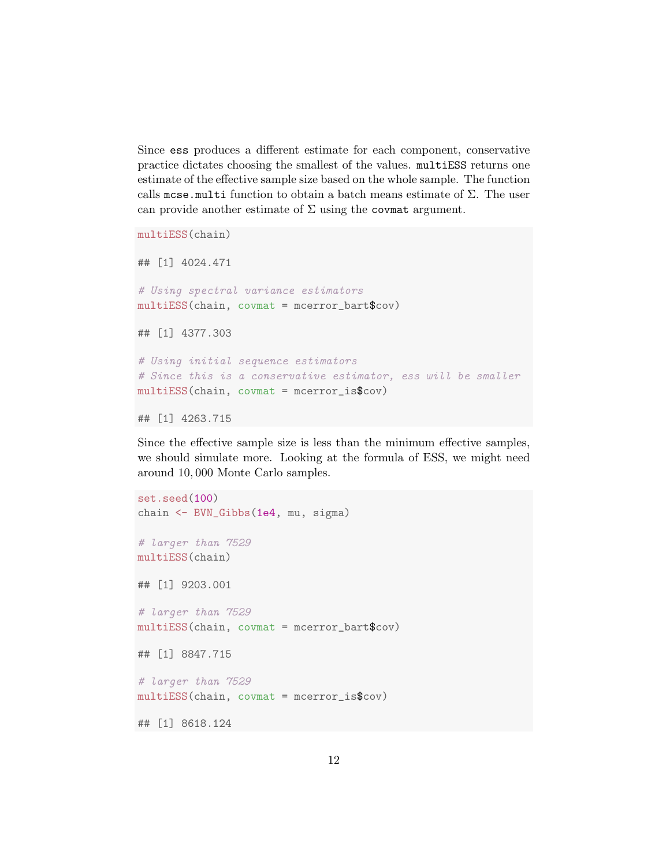Since ess produces a different estimate for each component, conservative practice dictates choosing the smallest of the values. multiESS returns one estimate of the effective sample size based on the whole sample. The function calls mcse.multi function to obtain a batch means estimate of  $\Sigma$ . The user can provide another estimate of  $\Sigma$  using the covmat argument.

```
multiESS(chain)
## [1] 4024.471
# Using spectral variance estimators
multiESS(chain, covmat = mcerror_bart$cov)
## [1] 4377.303
# Using initial sequence estimators
# Since this is a conservative estimator, ess will be smaller
multiESS(chain, covmat = mcerror_is$cov)
```

```
## [1] 4263.715
```
Since the effective sample size is less than the minimum effective samples, we should simulate more. Looking at the formula of ESS, we might need around 10, 000 Monte Carlo samples.

```
set.seed(100)
chain <- BVN_Gibbs(1e4, mu, sigma)
# larger than 7529
multiESS(chain)
## [1] 9203.001
# larger than 7529
multiESS(chain, covmat = mcerror_bart$cov)
## [1] 8847.715
# larger than 7529
multiESS(chain, covmat = mcerror_is$cov)
## [1] 8618.124
```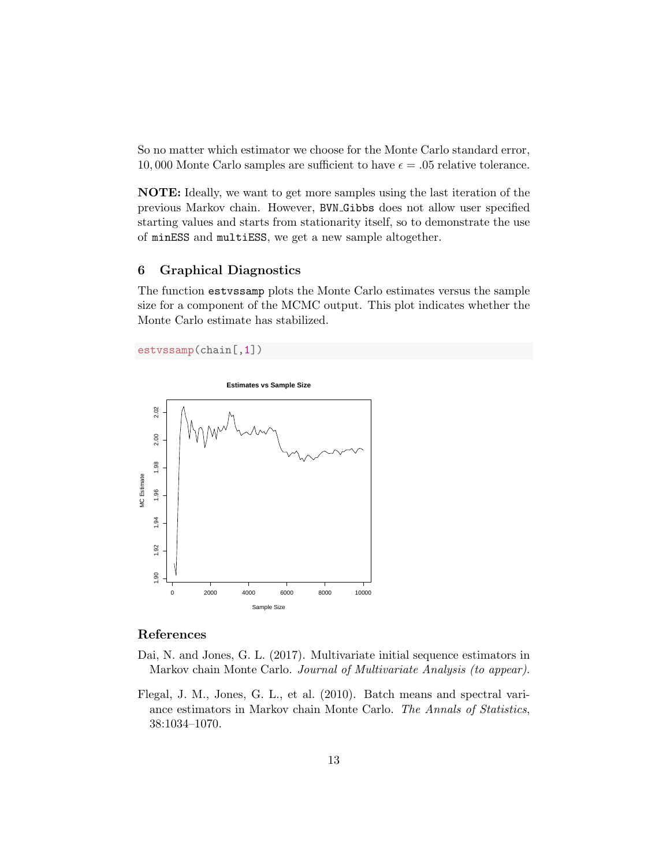So no matter which estimator we choose for the Monte Carlo standard error, 10,000 Monte Carlo samples are sufficient to have  $\epsilon = .05$  relative tolerance.

NOTE: Ideally, we want to get more samples using the last iteration of the previous Markov chain. However, BVN Gibbs does not allow user specified starting values and starts from stationarity itself, so to demonstrate the use of minESS and multiESS, we get a new sample altogether.

## 6 Graphical Diagnostics

The function estvssamp plots the Monte Carlo estimates versus the sample size for a component of the MCMC output. This plot indicates whether the Monte Carlo estimate has stabilized.

```
estvssamp(chain[,1])
```


#### References

- Dai, N. and Jones, G. L. (2017). Multivariate initial sequence estimators in Markov chain Monte Carlo. Journal of Multivariate Analysis (to appear).
- Flegal, J. M., Jones, G. L., et al. (2010). Batch means and spectral variance estimators in Markov chain Monte Carlo. The Annals of Statistics, 38:1034–1070.